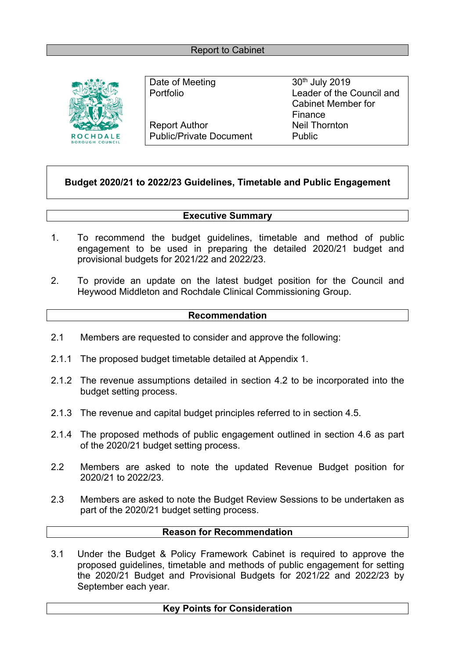

Date of Meeting 30<sup>th</sup> July 2019 Report Author Neil Thornton Public/Private Document Public

Portfolio Leader of the Council and Cabinet Member for Finance

## **Budget 2020/21 to 2022/23 Guidelines, Timetable and Public Engagement**

## **Executive Summary**

- 1. To recommend the budget guidelines, timetable and method of public engagement to be used in preparing the detailed 2020/21 budget and provisional budgets for 2021/22 and 2022/23.
- 2. To provide an update on the latest budget position for the Council and Heywood Middleton and Rochdale Clinical Commissioning Group.

## **Recommendation**

- 2.1 Members are requested to consider and approve the following:
- 2.1.1 The proposed budget timetable detailed at Appendix 1.
- 2.1.2 The revenue assumptions detailed in section 4.2 to be incorporated into the budget setting process.
- 2.1.3 The revenue and capital budget principles referred to in section 4.5.
- 2.1.4 The proposed methods of public engagement outlined in section 4.6 as part of the 2020/21 budget setting process.
- 2.2 Members are asked to note the updated Revenue Budget position for 2020/21 to 2022/23.
- 2.3 Members are asked to note the Budget Review Sessions to be undertaken as part of the 2020/21 budget setting process.

## **Reason for Recommendation**

3.1 Under the Budget & Policy Framework Cabinet is required to approve the proposed guidelines, timetable and methods of public engagement for setting the 2020/21 Budget and Provisional Budgets for 2021/22 and 2022/23 by September each year.

## **Key Points for Consideration**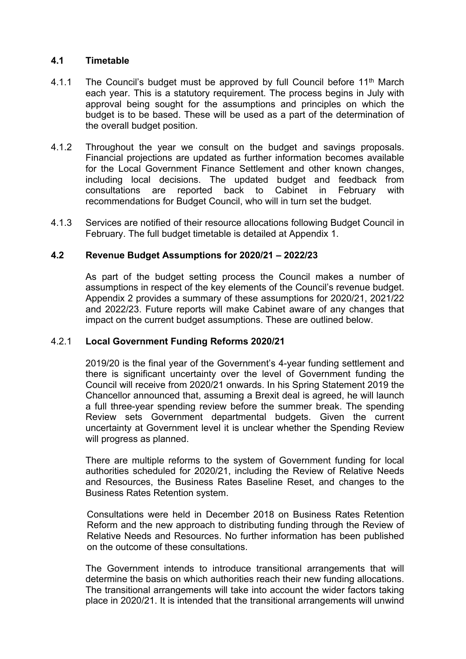#### **4.1 Timetable**

- 4.1.1 The Council's budget must be approved by full Council before 11<sup>th</sup> March each year. This is a statutory requirement. The process begins in July with approval being sought for the assumptions and principles on which the budget is to be based. These will be used as a part of the determination of the overall budget position.
- 4.1.2 Throughout the year we consult on the budget and savings proposals. Financial projections are updated as further information becomes available for the Local Government Finance Settlement and other known changes, including local decisions. The updated budget and feedback from consultations are reported back to Cabinet in February with recommendations for Budget Council, who will in turn set the budget.
- 4.1.3 Services are notified of their resource allocations following Budget Council in February. The full budget timetable is detailed at Appendix 1.

#### **4.2 Revenue Budget Assumptions for 2020/21 – 2022/23**

As part of the budget setting process the Council makes a number of assumptions in respect of the key elements of the Council's revenue budget. Appendix 2 provides a summary of these assumptions for 2020/21, 2021/22 and 2022/23. Future reports will make Cabinet aware of any changes that impact on the current budget assumptions. These are outlined below.

#### 4.2.1 **Local Government Funding Reforms 2020/21**

2019/20 is the final year of the Government's 4-year funding settlement and there is significant uncertainty over the level of Government funding the Council will receive from 2020/21 onwards. In his Spring Statement 2019 the Chancellor announced that, assuming a Brexit deal is agreed, he will launch a full three-year spending review before the summer break. The spending Review sets Government departmental budgets. Given the current uncertainty at Government level it is unclear whether the Spending Review will progress as planned.

There are multiple reforms to the system of Government funding for local authorities scheduled for 2020/21, including the Review of Relative Needs and Resources, the Business Rates Baseline Reset, and changes to the Business Rates Retention system.

Consultations were held in December 2018 on Business Rates Retention Reform and the new approach to distributing funding through the Review of Relative Needs and Resources. No further information has been published on the outcome of these consultations.

The Government intends to introduce transitional arrangements that will determine the basis on which authorities reach their new funding allocations. The transitional arrangements will take into account the wider factors taking place in 2020/21. It is intended that the transitional arrangements will unwind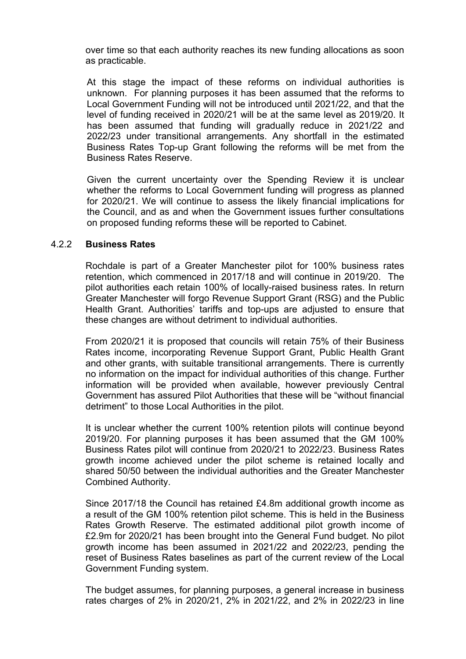over time so that each authority reaches its new funding allocations as soon as practicable.

At this stage the impact of these reforms on individual authorities is unknown. For planning purposes it has been assumed that the reforms to Local Government Funding will not be introduced until 2021/22, and that the level of funding received in 2020/21 will be at the same level as 2019/20. It has been assumed that funding will gradually reduce in 2021/22 and 2022/23 under transitional arrangements. Any shortfall in the estimated Business Rates Top-up Grant following the reforms will be met from the Business Rates Reserve.

Given the current uncertainty over the Spending Review it is unclear whether the reforms to Local Government funding will progress as planned for 2020/21. We will continue to assess the likely financial implications for the Council, and as and when the Government issues further consultations on proposed funding reforms these will be reported to Cabinet.

#### 4.2.2 **Business Rates**

Rochdale is part of a Greater Manchester pilot for 100% business rates retention, which commenced in 2017/18 and will continue in 2019/20. The pilot authorities each retain 100% of locally-raised business rates. In return Greater Manchester will forgo Revenue Support Grant (RSG) and the Public Health Grant. Authorities' tariffs and top-ups are adjusted to ensure that these changes are without detriment to individual authorities.

From 2020/21 it is proposed that councils will retain 75% of their Business Rates income, incorporating Revenue Support Grant, Public Health Grant and other grants, with suitable transitional arrangements. There is currently no information on the impact for individual authorities of this change. Further information will be provided when available, however previously Central Government has assured Pilot Authorities that these will be "without financial detriment" to those Local Authorities in the pilot.

It is unclear whether the current 100% retention pilots will continue beyond 2019/20. For planning purposes it has been assumed that the GM 100% Business Rates pilot will continue from 2020/21 to 2022/23. Business Rates growth income achieved under the pilot scheme is retained locally and shared 50/50 between the individual authorities and the Greater Manchester Combined Authority.

Since 2017/18 the Council has retained £4.8m additional growth income as a result of the GM 100% retention pilot scheme. This is held in the Business Rates Growth Reserve. The estimated additional pilot growth income of £2.9m for 2020/21 has been brought into the General Fund budget. No pilot growth income has been assumed in 2021/22 and 2022/23, pending the reset of Business Rates baselines as part of the current review of the Local Government Funding system.

The budget assumes, for planning purposes, a general increase in business rates charges of 2% in 2020/21, 2% in 2021/22, and 2% in 2022/23 in line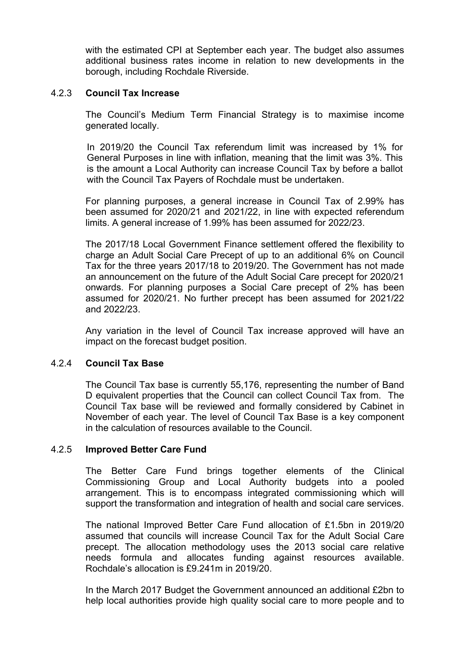with the estimated CPI at September each year. The budget also assumes additional business rates income in relation to new developments in the borough, including Rochdale Riverside.

#### 4.2.3 **Council Tax Increase**

The Council's Medium Term Financial Strategy is to maximise income generated locally.

In 2019/20 the Council Tax referendum limit was increased by 1% for General Purposes in line with inflation, meaning that the limit was 3%. This is the amount a Local Authority can increase Council Tax by before a ballot with the Council Tax Payers of Rochdale must be undertaken.

For planning purposes, a general increase in Council Tax of 2.99% has been assumed for 2020/21 and 2021/22, in line with expected referendum limits. A general increase of 1.99% has been assumed for 2022/23.

The 2017/18 Local Government Finance settlement offered the flexibility to charge an Adult Social Care Precept of up to an additional 6% on Council Tax for the three years 2017/18 to 2019/20. The Government has not made an announcement on the future of the Adult Social Care precept for 2020/21 onwards. For planning purposes a Social Care precept of 2% has been assumed for 2020/21. No further precept has been assumed for 2021/22 and 2022/23.

Any variation in the level of Council Tax increase approved will have an impact on the forecast budget position.

#### 4.2.4 **Council Tax Base**

The Council Tax base is currently 55,176, representing the number of Band D equivalent properties that the Council can collect Council Tax from. The Council Tax base will be reviewed and formally considered by Cabinet in November of each year. The level of Council Tax Base is a key component in the calculation of resources available to the Council.

#### 4.2.5 **Improved Better Care Fund**

The Better Care Fund brings together elements of the Clinical Commissioning Group and Local Authority budgets into a pooled arrangement. This is to encompass integrated commissioning which will support the transformation and integration of health and social care services.

The national Improved Better Care Fund allocation of £1.5bn in 2019/20 assumed that councils will increase Council Tax for the Adult Social Care precept. The allocation methodology uses the 2013 social care relative needs formula and allocates funding against resources available. Rochdale's allocation is £9.241m in 2019/20.

In the March 2017 Budget the Government announced an additional £2bn to help local authorities provide high quality social care to more people and to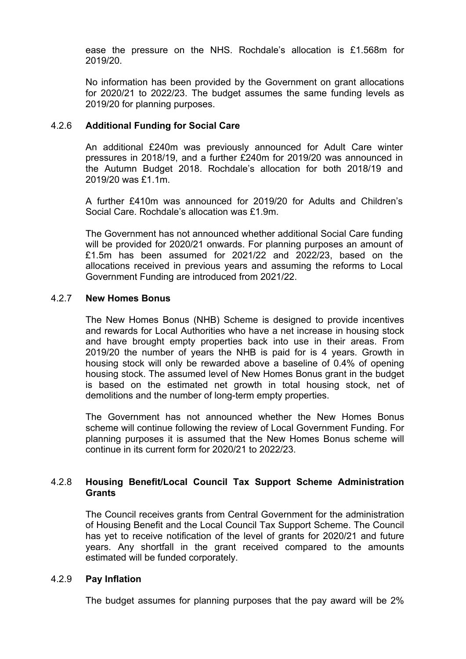ease the pressure on the NHS. Rochdale's allocation is £1.568m for 2019/20.

No information has been provided by the Government on grant allocations for 2020/21 to 2022/23. The budget assumes the same funding levels as 2019/20 for planning purposes.

#### 4.2.6 **Additional Funding for Social Care**

An additional £240m was previously announced for Adult Care winter pressures in 2018/19, and a further £240m for 2019/20 was announced in the Autumn Budget 2018. Rochdale's allocation for both 2018/19 and 2019/20 was £1.1m.

A further £410m was announced for 2019/20 for Adults and Children's Social Care. Rochdale's allocation was £1.9m.

The Government has not announced whether additional Social Care funding will be provided for 2020/21 onwards. For planning purposes an amount of £1.5m has been assumed for 2021/22 and 2022/23, based on the allocations received in previous years and assuming the reforms to Local Government Funding are introduced from 2021/22.

#### 4.2.7 **New Homes Bonus**

The New Homes Bonus (NHB) Scheme is designed to provide incentives and rewards for Local Authorities who have a net increase in housing stock and have brought empty properties back into use in their areas. From 2019/20 the number of years the NHB is paid for is 4 years. Growth in housing stock will only be rewarded above a baseline of 0.4% of opening housing stock. The assumed level of New Homes Bonus grant in the budget is based on the estimated net growth in total housing stock, net of demolitions and the number of long-term empty properties.

The Government has not announced whether the New Homes Bonus scheme will continue following the review of Local Government Funding. For planning purposes it is assumed that the New Homes Bonus scheme will continue in its current form for 2020/21 to 2022/23.

### 4.2.8 **Housing Benefit/Local Council Tax Support Scheme Administration Grants**

The Council receives grants from Central Government for the administration of Housing Benefit and the Local Council Tax Support Scheme. The Council has yet to receive notification of the level of grants for 2020/21 and future years. Any shortfall in the grant received compared to the amounts estimated will be funded corporately.

#### 4.2.9 **Pay Inflation**

The budget assumes for planning purposes that the pay award will be 2%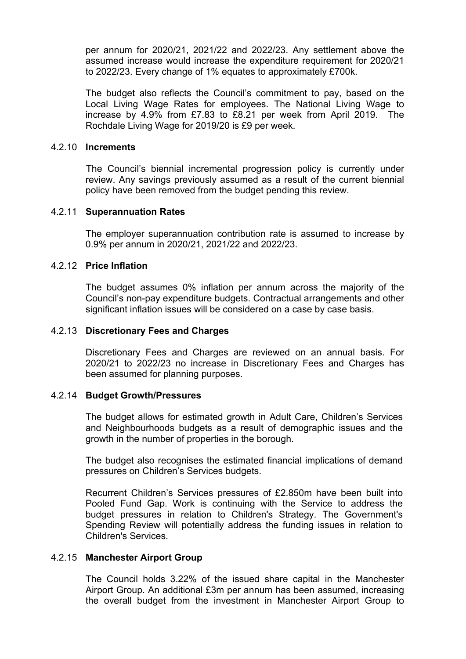per annum for 2020/21, 2021/22 and 2022/23. Any settlement above the assumed increase would increase the expenditure requirement for 2020/21 to 2022/23. Every change of 1% equates to approximately £700k.

The budget also reflects the Council's commitment to pay, based on the Local Living Wage Rates for employees. The National Living Wage to increase by 4.9% from £7.83 to £8.21 per week from April 2019. The Rochdale Living Wage for 2019/20 is £9 per week.

## 4.2.10 **Increments**

The Council's biennial incremental progression policy is currently under review. Any savings previously assumed as a result of the current biennial policy have been removed from the budget pending this review.

## 4.2.11 **Superannuation Rates**

The employer superannuation contribution rate is assumed to increase by 0.9% per annum in 2020/21, 2021/22 and 2022/23.

## 4.2.12 **Price Inflation**

The budget assumes 0% inflation per annum across the majority of the Council's non-pay expenditure budgets. Contractual arrangements and other significant inflation issues will be considered on a case by case basis.

## 4.2.13 **Discretionary Fees and Charges**

Discretionary Fees and Charges are reviewed on an annual basis. For 2020/21 to 2022/23 no increase in Discretionary Fees and Charges has been assumed for planning purposes.

### 4.2.14 **Budget Growth/Pressures**

The budget allows for estimated growth in Adult Care, Children's Services and Neighbourhoods budgets as a result of demographic issues and the growth in the number of properties in the borough.

The budget also recognises the estimated financial implications of demand pressures on Children's Services budgets.

Recurrent Children's Services pressures of £2.850m have been built into Pooled Fund Gap. Work is continuing with the Service to address the budget pressures in relation to Children's Strategy. The Government's Spending Review will potentially address the funding issues in relation to Children's Services.

## 4.2.15 **Manchester Airport Group**

The Council holds 3.22% of the issued share capital in the Manchester Airport Group. An additional £3m per annum has been assumed, increasing the overall budget from the investment in Manchester Airport Group to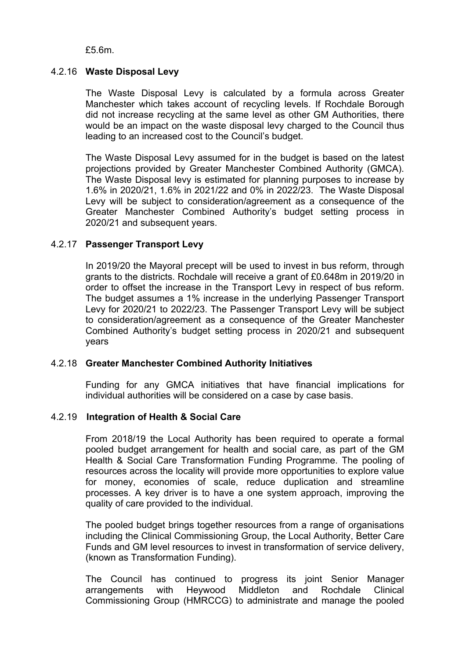£5.6m.

## 4.2.16 **Waste Disposal Levy**

The Waste Disposal Levy is calculated by a formula across Greater Manchester which takes account of recycling levels. If Rochdale Borough did not increase recycling at the same level as other GM Authorities, there would be an impact on the waste disposal levy charged to the Council thus leading to an increased cost to the Council's budget.

The Waste Disposal Levy assumed for in the budget is based on the latest projections provided by Greater Manchester Combined Authority (GMCA). The Waste Disposal levy is estimated for planning purposes to increase by 1.6% in 2020/21, 1.6% in 2021/22 and 0% in 2022/23. The Waste Disposal Levy will be subject to consideration/agreement as a consequence of the Greater Manchester Combined Authority's budget setting process in 2020/21 and subsequent years.

## 4.2.17 **Passenger Transport Levy**

In 2019/20 the Mayoral precept will be used to invest in bus reform, through grants to the districts. Rochdale will receive a grant of £0.648m in 2019/20 in order to offset the increase in the Transport Levy in respect of bus reform. The budget assumes a 1% increase in the underlying Passenger Transport Levy for 2020/21 to 2022/23. The Passenger Transport Levy will be subject to consideration/agreement as a consequence of the Greater Manchester Combined Authority's budget setting process in 2020/21 and subsequent years

## 4.2.18 **Greater Manchester Combined Authority Initiatives**

Funding for any GMCA initiatives that have financial implications for individual authorities will be considered on a case by case basis.

#### 4.2.19 **Integration of Health & Social Care**

From 2018/19 the Local Authority has been required to operate a formal pooled budget arrangement for health and social care, as part of the GM Health & Social Care Transformation Funding Programme. The pooling of resources across the locality will provide more opportunities to explore value for money, economies of scale, reduce duplication and streamline processes. A key driver is to have a one system approach, improving the quality of care provided to the individual.

The pooled budget brings together resources from a range of organisations including the Clinical Commissioning Group, the Local Authority, Better Care Funds and GM level resources to invest in transformation of service delivery, (known as Transformation Funding).

The Council has continued to progress its joint Senior Manager arrangements with Heywood Middleton and Rochdale Clinical Commissioning Group (HMRCCG) to administrate and manage the pooled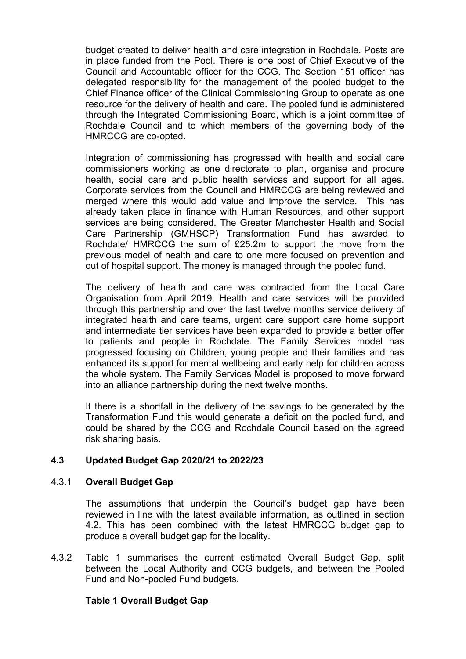budget created to deliver health and care integration in Rochdale. Posts are in place funded from the Pool. There is one post of Chief Executive of the Council and Accountable officer for the CCG. The Section 151 officer has delegated responsibility for the management of the pooled budget to the Chief Finance officer of the Clinical Commissioning Group to operate as one resource for the delivery of health and care. The pooled fund is administered through the Integrated Commissioning Board, which is a joint committee of Rochdale Council and to which members of the governing body of the HMRCCG are co-opted.

Integration of commissioning has progressed with health and social care commissioners working as one directorate to plan, organise and procure health, social care and public health services and support for all ages. Corporate services from the Council and HMRCCG are being reviewed and merged where this would add value and improve the service. This has already taken place in finance with Human Resources, and other support services are being considered. The Greater Manchester Health and Social Care Partnership (GMHSCP) Transformation Fund has awarded to Rochdale/ HMRCCG the sum of £25.2m to support the move from the previous model of health and care to one more focused on prevention and out of hospital support. The money is managed through the pooled fund.

The delivery of health and care was contracted from the Local Care Organisation from April 2019. Health and care services will be provided through this partnership and over the last twelve months service delivery of integrated health and care teams, urgent care support care home support and intermediate tier services have been expanded to provide a better offer to patients and people in Rochdale. The Family Services model has progressed focusing on Children, young people and their families and has enhanced its support for mental wellbeing and early help for children across the whole system. The Family Services Model is proposed to move forward into an alliance partnership during the next twelve months.

It there is a shortfall in the delivery of the savings to be generated by the Transformation Fund this would generate a deficit on the pooled fund, and could be shared by the CCG and Rochdale Council based on the agreed risk sharing basis.

#### **4.3 Updated Budget Gap 2020/21 to 2022/23**

#### 4.3.1 **Overall Budget Gap**

The assumptions that underpin the Council's budget gap have been reviewed in line with the latest available information, as outlined in section 4.2. This has been combined with the latest HMRCCG budget gap to produce a overall budget gap for the locality.

4.3.2 Table 1 summarises the current estimated Overall Budget Gap, split between the Local Authority and CCG budgets, and between the Pooled Fund and Non-pooled Fund budgets.

## **Table 1 Overall Budget Gap**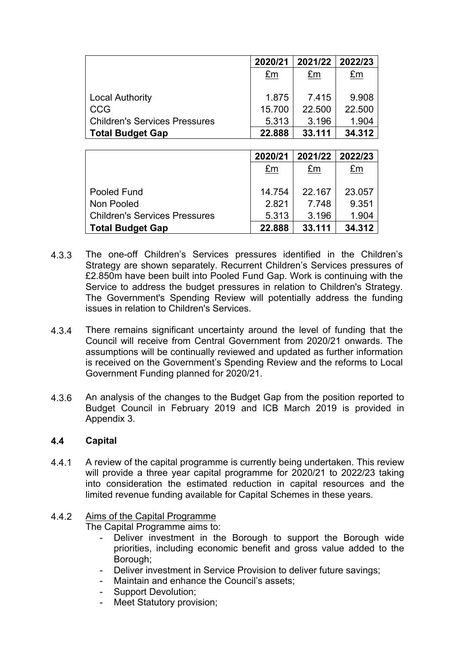|                                      | 2020/21     |        | 2021/22 2022/23 |
|--------------------------------------|-------------|--------|-----------------|
|                                      | $E_{\rm m}$ | £m     | £m              |
|                                      |             |        |                 |
| <b>Local Authority</b>               | 1.875       | 7.415  | 9.908           |
| CCG                                  | 15.700      | 22.500 | 22.500          |
| <b>Children's Services Pressures</b> | 5.313       | 3.196  | 1.904           |
| <b>Total Budget Gap</b>              | 22.888      | 33.111 | 34.312          |

|                                      | 2020/21 | 2021/22 | 2022/23     |
|--------------------------------------|---------|---------|-------------|
|                                      | £m      | £m      | $E_{\rm m}$ |
|                                      |         |         |             |
| Pooled Fund                          | 14.754  | 22.167  | 23.057      |
| Non Pooled                           | 2.821   | 7.748   | 9.351       |
| <b>Children's Services Pressures</b> | 5.313   | 3.196   | 1.904       |
| <b>Total Budget Gap</b>              | 22.888  | 33.111  | 34.312      |

- 4.3.3 The one-off Children's Services pressures identified in the Children's Strategy are shown separately. Recurrent Children's Services pressures of £2.850m have been built into Pooled Fund Gap. Work is continuing with the Service to address the budget pressures in relation to Children's Strategy. The Government's Spending Review will potentially address the funding issues in relation to Children's Services.
- 4.3.4 There remains significant uncertainty around the level of funding that the Council will receive from Central Government from 2020/21 onwards. The assumptions will be continually reviewed and updated as further information is received on the Government's Spending Review and the reforms to Local Government Funding planned for 2020/21.
- 4.3.6 An analysis of the changes to the Budget Gap from the position reported to Budget Council in February 2019 and ICB March 2019 is provided in Appendix 3.

#### **4.4 Capital**

4.4.1 A review of the capital programme is currently being undertaken. This review will provide a three year capital programme for 2020/21 to 2022/23 taking into consideration the estimated reduction in capital resources and the limited revenue funding available for Capital Schemes in these years.

#### 4.4.2 Aims of the Capital Programme

The Capital Programme aims to:

- Deliver investment in the Borough to support the Borough wide priorities, including economic benefit and gross value added to the Borough;
- Deliver investment in Service Provision to deliver future savings;
- Maintain and enhance the Council's assets;
- Support Devolution;
- Meet Statutory provision;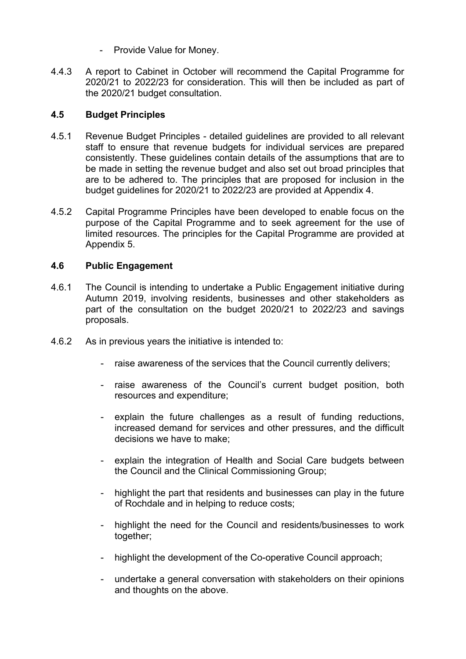- Provide Value for Money.
- 4.4.3 A report to Cabinet in October will recommend the Capital Programme for 2020/21 to 2022/23 for consideration. This will then be included as part of the 2020/21 budget consultation.

#### **4.5 Budget Principles**

- 4.5.1 Revenue Budget Principles - detailed guidelines are provided to all relevant staff to ensure that revenue budgets for individual services are prepared consistently. These guidelines contain details of the assumptions that are to be made in setting the revenue budget and also set out broad principles that are to be adhered to. The principles that are proposed for inclusion in the budget guidelines for 2020/21 to 2022/23 are provided at Appendix 4.
- 4.5.2 Capital Programme Principles have been developed to enable focus on the purpose of the Capital Programme and to seek agreement for the use of limited resources. The principles for the Capital Programme are provided at Appendix 5.

#### **4.6 Public Engagement**

- 4.6.1 The Council is intending to undertake a Public Engagement initiative during Autumn 2019, involving residents, businesses and other stakeholders as part of the consultation on the budget 2020/21 to 2022/23 and savings proposals.
- 4.6.2 As in previous years the initiative is intended to:
	- raise awareness of the services that the Council currently delivers;
	- raise awareness of the Council's current budget position, both resources and expenditure;
	- explain the future challenges as a result of funding reductions, increased demand for services and other pressures, and the difficult decisions we have to make;
	- explain the integration of Health and Social Care budgets between the Council and the Clinical Commissioning Group;
	- highlight the part that residents and businesses can play in the future of Rochdale and in helping to reduce costs;
	- highlight the need for the Council and residents/businesses to work together;
	- highlight the development of the Co-operative Council approach;
	- undertake a general conversation with stakeholders on their opinions and thoughts on the above.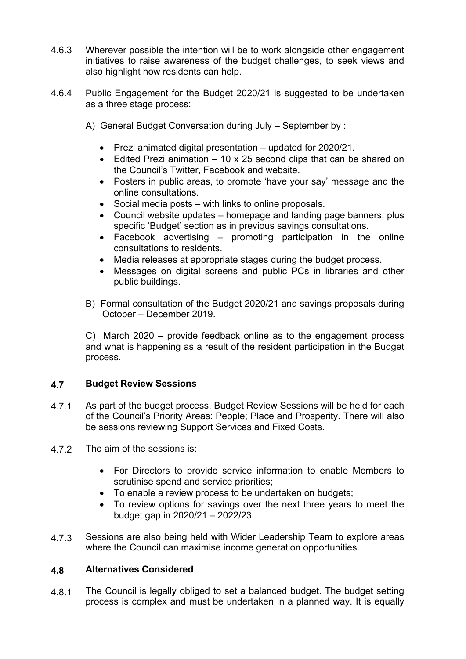- 4.6.3 Wherever possible the intention will be to work alongside other engagement initiatives to raise awareness of the budget challenges, to seek views and also highlight how residents can help.
- 4.6.4 Public Engagement for the Budget 2020/21 is suggested to be undertaken as a three stage process:
	- A) General Budget Conversation during July September by :
		- Prezi animated digital presentation updated for 2020/21.
		- $\bullet$  Edited Prezi animation  $-10 \times 25$  second clips that can be shared on the Council's Twitter, Facebook and website.
		- Posters in public areas, to promote 'have your say' message and the online consultations.
		- Social media posts with links to online proposals.
		- Council website updates homepage and landing page banners, plus specific 'Budget' section as in previous savings consultations.
		- Facebook advertising promoting participation in the online consultations to residents.
		- Media releases at appropriate stages during the budget process.
		- Messages on digital screens and public PCs in libraries and other public buildings.
	- B) Formal consultation of the Budget 2020/21 and savings proposals during October – December 2019.

C) March 2020 – provide feedback online as to the engagement process and what is happening as a result of the resident participation in the Budget process.

#### **4.7 Budget Review Sessions**

- 4.7.1 As part of the budget process, Budget Review Sessions will be held for each of the Council's Priority Areas: People; Place and Prosperity. There will also be sessions reviewing Support Services and Fixed Costs.
- 4.7.2 The aim of the sessions is:
	- For Directors to provide service information to enable Members to scrutinise spend and service priorities;
	- To enable a review process to be undertaken on budgets;
	- To review options for savings over the next three years to meet the budget gap in 2020/21 – 2022/23.
- 4.7.3 Sessions are also being held with Wider Leadership Team to explore areas where the Council can maximise income generation opportunities.

#### **4.8 Alternatives Considered**

4.8.1 The Council is legally obliged to set a balanced budget. The budget setting process is complex and must be undertaken in a planned way. It is equally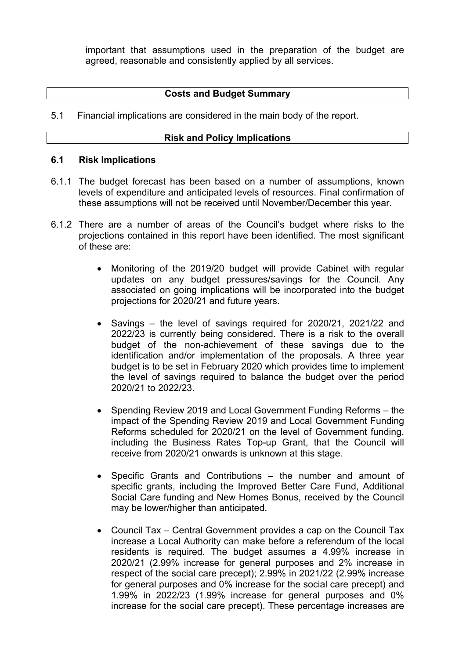important that assumptions used in the preparation of the budget are agreed, reasonable and consistently applied by all services.

## **Costs and Budget Summary**

5.1 Financial implications are considered in the main body of the report.

## **Risk and Policy Implications**

#### **6.1 Risk Implications**

- 6.1.1 The budget forecast has been based on a number of assumptions, known levels of expenditure and anticipated levels of resources. Final confirmation of these assumptions will not be received until November/December this year.
- 6.1.2 There are a number of areas of the Council's budget where risks to the projections contained in this report have been identified. The most significant of these are:
	- Monitoring of the 2019/20 budget will provide Cabinet with regular updates on any budget pressures/savings for the Council. Any associated on going implications will be incorporated into the budget projections for 2020/21 and future years.
	- Savings the level of savings required for 2020/21, 2021/22 and 2022/23 is currently being considered. There is a risk to the overall budget of the non-achievement of these savings due to the identification and/or implementation of the proposals. A three year budget is to be set in February 2020 which provides time to implement the level of savings required to balance the budget over the period 2020/21 to 2022/23.
	- Spending Review 2019 and Local Government Funding Reforms the impact of the Spending Review 2019 and Local Government Funding Reforms scheduled for 2020/21 on the level of Government funding, including the Business Rates Top-up Grant, that the Council will receive from 2020/21 onwards is unknown at this stage.
	- Specific Grants and Contributions the number and amount of specific grants, including the Improved Better Care Fund, Additional Social Care funding and New Homes Bonus, received by the Council may be lower/higher than anticipated.
	- Council Tax Central Government provides a cap on the Council Tax increase a Local Authority can make before a referendum of the local residents is required. The budget assumes a 4.99% increase in 2020/21 (2.99% increase for general purposes and 2% increase in respect of the social care precept); 2.99% in 2021/22 (2.99% increase for general purposes and 0% increase for the social care precept) and 1.99% in 2022/23 (1.99% increase for general purposes and 0% increase for the social care precept). These percentage increases are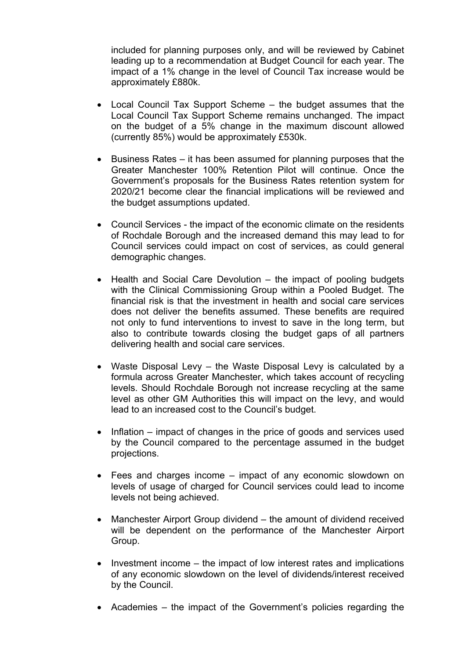included for planning purposes only, and will be reviewed by Cabinet leading up to a recommendation at Budget Council for each year. The impact of a 1% change in the level of Council Tax increase would be approximately £880k.

- Local Council Tax Support Scheme the budget assumes that the Local Council Tax Support Scheme remains unchanged. The impact on the budget of a 5% change in the maximum discount allowed (currently 85%) would be approximately £530k.
- Business Rates it has been assumed for planning purposes that the Greater Manchester 100% Retention Pilot will continue. Once the Government's proposals for the Business Rates retention system for 2020/21 become clear the financial implications will be reviewed and the budget assumptions updated.
- Council Services the impact of the economic climate on the residents of Rochdale Borough and the increased demand this may lead to for Council services could impact on cost of services, as could general demographic changes.
- Health and Social Care Devolution the impact of pooling budgets with the Clinical Commissioning Group within a Pooled Budget. The financial risk is that the investment in health and social care services does not deliver the benefits assumed. These benefits are required not only to fund interventions to invest to save in the long term, but also to contribute towards closing the budget gaps of all partners delivering health and social care services.
- Waste Disposal Levy the Waste Disposal Levy is calculated by a formula across Greater Manchester, which takes account of recycling levels. Should Rochdale Borough not increase recycling at the same level as other GM Authorities this will impact on the levy, and would lead to an increased cost to the Council's budget.
- Inflation impact of changes in the price of goods and services used by the Council compared to the percentage assumed in the budget projections.
- Fees and charges income impact of any economic slowdown on levels of usage of charged for Council services could lead to income levels not being achieved.
- Manchester Airport Group dividend the amount of dividend received will be dependent on the performance of the Manchester Airport Group.
- $\bullet$  Investment income the impact of low interest rates and implications of any economic slowdown on the level of dividends/interest received by the Council.
- Academies the impact of the Government's policies regarding the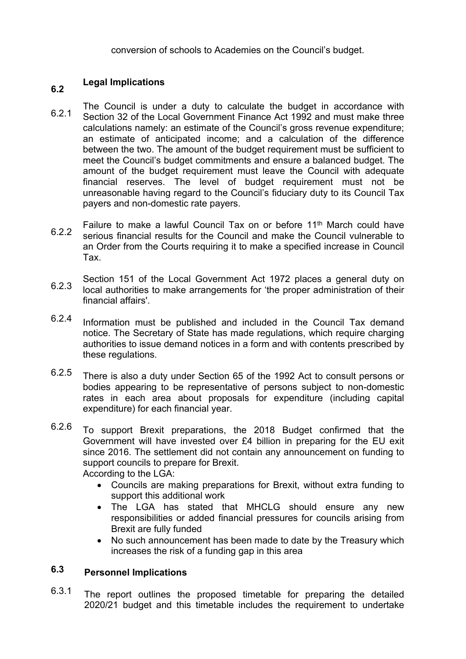conversion of schools to Academies on the Council's budget.

### **6.2 Legal Implications**

- 6.2.1 The Council is under a duty to calculate the budget in accordance with Section 32 of the Local Government Finance Act 1992 and must make three calculations namely: an estimate of the Council's gross revenue expenditure; an estimate of anticipated income; and a calculation of the difference between the two. The amount of the budget requirement must be sufficient to meet the Council's budget commitments and ensure a balanced budget. The amount of the budget requirement must leave the Council with adequate financial reserves. The level of budget requirement must not be unreasonable having regard to the Council's fiduciary duty to its Council Tax payers and non-domestic rate payers.
- 6.22 Failure to make a lawful Council Tax on or before 11th March could have serious financial results for the Council and make the Council vulnerable to an Order from the Courts requiring it to make a specified increase in Council Tax.
- 6.2.3 Section 151 of the Local Government Act 1972 places a general duty on local authorities to make arrangements for 'the proper administration of their financial affairs'.
- 6.2.4 Information must be published and included in the Council Tax demand notice. The Secretary of State has made regulations, which require charging authorities to issue demand notices in a form and with contents prescribed by these regulations.
- 6.2.5 There is also a duty under Section 65 of the 1992 Act to consult persons or bodies appearing to be representative of persons subject to non-domestic rates in each area about proposals for expenditure (including capital expenditure) for each financial year.
- 6.26 To support Brexit preparations, the 2018 Budget confirmed that the Government will have invested over £4 billion in preparing for the EU exit since 2016. The settlement did not contain any announcement on funding to support councils to prepare for Brexit. According to the LGA:
	- Councils are making preparations for Brexit, without extra funding to support this additional work
	- The LGA has stated that MHCLG should ensure any new responsibilities or added financial pressures for councils arising from Brexit are fully funded
	- No such announcement has been made to date by the Treasury which increases the risk of a funding gap in this area

### **6.3 Personnel Implications**

6.3.1 The report outlines the proposed timetable for preparing the detailed 2020/21 budget and this timetable includes the requirement to undertake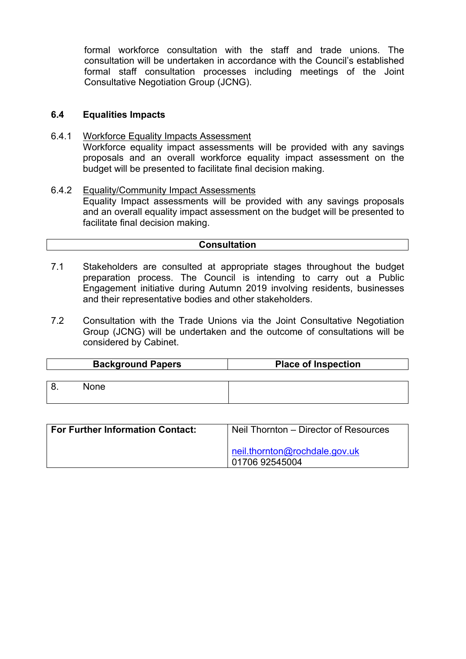formal workforce consultation with the staff and trade unions. The consultation will be undertaken in accordance with the Council's established formal staff consultation processes including meetings of the Joint Consultative Negotiation Group (JCNG).

#### **Equalities Impacts 6.4**

- Workforce Equality Impacts Assessment Workforce equality impact assessments will be provided with any savings proposals and an overall workforce equality impact assessment on the budget will be presented to facilitate final decision making. 6.4.1
- Equality/Community Impact Assessments Equality Impact assessments will be provided with any savings proposals and an overall equality impact assessment on the budget will be presented to facilitate final decision making. 6.4.2

## **Consultation**

- 7.1 Stakeholders are consulted at appropriate stages throughout the budget preparation process. The Council is intending to carry out a Public Engagement initiative during Autumn 2019 involving residents, businesses and their representative bodies and other stakeholders.
- 7.2 Consultation with the Trade Unions via the Joint Consultative Negotiation Group (JCNG) will be undertaken and the outcome of consultations will be considered by Cabinet.

| <b>Background Papers</b> | <b>Place of Inspection</b> |  |  |
|--------------------------|----------------------------|--|--|
| <b>None</b>              |                            |  |  |

| <b>For Further Information Contact:</b> | Neil Thornton – Director of Resources             |  |  |
|-----------------------------------------|---------------------------------------------------|--|--|
|                                         | neil.thornton@rochdale.gov.uk<br>  01706 92545004 |  |  |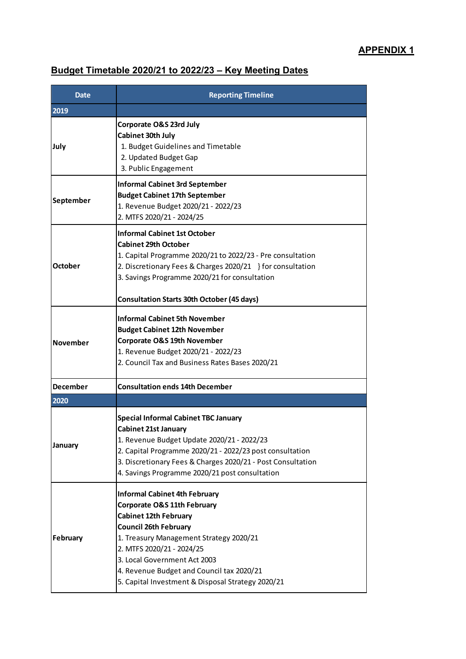# **Budget Timetable 2020/21 to 2022/23 – Key Meeting Dates**

| Date            | <b>Reporting Timeline</b>                                                                                                                                                                                                                                                                                                                                |  |  |
|-----------------|----------------------------------------------------------------------------------------------------------------------------------------------------------------------------------------------------------------------------------------------------------------------------------------------------------------------------------------------------------|--|--|
| 2019            |                                                                                                                                                                                                                                                                                                                                                          |  |  |
| July            | Corporate O&S 23rd July<br><b>Cabinet 30th July</b><br>1. Budget Guidelines and Timetable<br>2. Updated Budget Gap<br>3. Public Engagement                                                                                                                                                                                                               |  |  |
| September       | <b>Informal Cabinet 3rd September</b><br><b>Budget Cabinet 17th September</b><br>1. Revenue Budget 2020/21 - 2022/23<br>2. MTFS 2020/21 - 2024/25                                                                                                                                                                                                        |  |  |
| <b>October</b>  | <b>Informal Cabinet 1st October</b><br><b>Cabinet 29th October</b><br>1. Capital Programme 2020/21 to 2022/23 - Pre consultation<br>2. Discretionary Fees & Charges 2020/21 } for consultation<br>3. Savings Programme 2020/21 for consultation<br><b>Consultation Starts 30th October (45 days)</b>                                                     |  |  |
| <b>November</b> | <b>Informal Cabinet 5th November</b><br><b>Budget Cabinet 12th November</b><br>Corporate O&S 19th November<br>1. Revenue Budget 2020/21 - 2022/23<br>2. Council Tax and Business Rates Bases 2020/21                                                                                                                                                     |  |  |
| <b>December</b> | <b>Consultation ends 14th December</b>                                                                                                                                                                                                                                                                                                                   |  |  |
| 2020            |                                                                                                                                                                                                                                                                                                                                                          |  |  |
| January         | <b>Special Informal Cabinet TBC January</b><br><b>Cabinet 21st January</b><br>1. Revenue Budget Update 2020/21 - 2022/23<br>2. Capital Programme 2020/21 - 2022/23 post consultation<br>3. Discretionary Fees & Charges 2020/21 - Post Consultation<br>4. Savings Programme 2020/21 post consultation                                                    |  |  |
| February        | <b>Informal Cabinet 4th February</b><br><b>Corporate O&amp;S 11th February</b><br><b>Cabinet 12th February</b><br><b>Council 26th February</b><br>1. Treasury Management Strategy 2020/21<br>2. MTFS 2020/21 - 2024/25<br>3. Local Government Act 2003<br>4. Revenue Budget and Council tax 2020/21<br>5. Capital Investment & Disposal Strategy 2020/21 |  |  |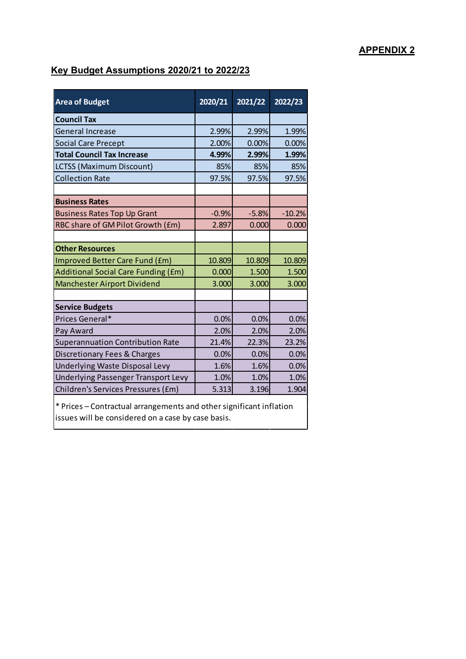## **APPENDIX 2**

# **Key Budget Assumptions 2020/21 to 2022/23**

| <b>Area of Budget</b>                                               | 2020/21 | 2021/22 | 2022/23  |
|---------------------------------------------------------------------|---------|---------|----------|
| <b>Council Tax</b>                                                  |         |         |          |
| <b>General Increase</b>                                             | 2.99%   | 2.99%   | 1.99%    |
| <b>Social Care Precept</b>                                          | 2.00%   | 0.00%   | 0.00%    |
| <b>Total Council Tax Increase</b>                                   | 4.99%   | 2.99%   | 1.99%    |
| <b>LCTSS (Maximum Discount)</b>                                     | 85%     | 85%     | 85%      |
| <b>Collection Rate</b>                                              | 97.5%   | 97.5%   | 97.5%    |
|                                                                     |         |         |          |
| <b>Business Rates</b>                                               |         |         |          |
| <b>Business Rates Top Up Grant</b>                                  | $-0.9%$ | $-5.8%$ | $-10.2%$ |
| RBC share of GM Pilot Growth (£m)                                   | 2.897   | 0.000   | 0.000    |
|                                                                     |         |         |          |
| <b>Other Resources</b>                                              |         |         |          |
| Improved Better Care Fund (£m)                                      | 10.809  | 10.809  | 10.809   |
| <b>Additional Social Care Funding (£m)</b>                          | 0.000   | 1.500   | 1.500    |
| <b>Manchester Airport Dividend</b>                                  | 3.000   | 3.000   | 3.000    |
|                                                                     |         |         |          |
| <b>Service Budgets</b>                                              |         |         |          |
| Prices General*                                                     | 0.0%    | 0.0%    | 0.0%     |
| Pay Award                                                           | 2.0%    | 2.0%    | 2.0%     |
| Superannuation Contribution Rate                                    | 21.4%   | 22.3%   | 23.2%    |
| Discretionary Fees & Charges                                        | 0.0%    | 0.0%    | 0.0%     |
| Underlying Waste Disposal Levy                                      | 1.6%    | 1.6%    | 0.0%     |
| Underlying Passenger Transport Levy                                 | 1.0%    | 1.0%    | 1.0%     |
| Children's Services Pressures (£m)                                  | 5.313   | 3.196   | 1.904    |
| * Prices – Contractual arrangements and other significant inflation |         |         |          |

issues will be considered on a case by case basis.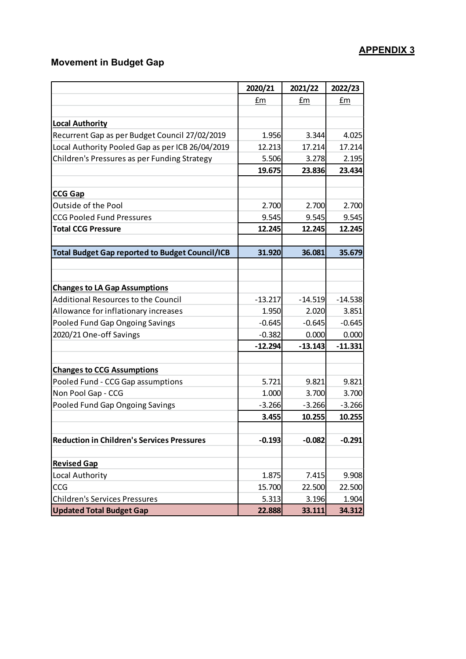## **APPENDIX 3**

# **Movement in Budget Gap**

|                                                        | 2020/21   | 2021/22   | 2022/23   |
|--------------------------------------------------------|-----------|-----------|-----------|
|                                                        | £m        | £m        | £m        |
|                                                        |           |           |           |
| <b>Local Authority</b>                                 |           |           |           |
| Recurrent Gap as per Budget Council 27/02/2019         | 1.956     | 3.344     | 4.025     |
| Local Authority Pooled Gap as per ICB 26/04/2019       | 12.213    | 17.214    | 17.214    |
| Children's Pressures as per Funding Strategy           | 5.506     | 3.278     | 2.195     |
|                                                        | 19.675    | 23.836    | 23.434    |
|                                                        |           |           |           |
| <b>CCG Gap</b>                                         |           |           |           |
| Outside of the Pool                                    | 2.700     | 2.700     | 2.700     |
| <b>CCG Pooled Fund Pressures</b>                       | 9.545     | 9.545     | 9.545     |
| <b>Total CCG Pressure</b>                              | 12.245    | 12.245    | 12.245    |
|                                                        |           |           |           |
| <b>Total Budget Gap reported to Budget Council/ICB</b> | 31.920    | 36.081    | 35.679    |
|                                                        |           |           |           |
| <b>Changes to LA Gap Assumptions</b>                   |           |           |           |
| Additional Resources to the Council                    | $-13.217$ | $-14.519$ | $-14.538$ |
| Allowance for inflationary increases                   | 1.950     | 2.020     | 3.851     |
| Pooled Fund Gap Ongoing Savings                        | $-0.645$  | $-0.645$  | $-0.645$  |
| 2020/21 One-off Savings                                | $-0.382$  | 0.000     | 0.000     |
|                                                        | $-12.294$ | $-13.143$ | $-11.331$ |
| <b>Changes to CCG Assumptions</b>                      |           |           |           |
| Pooled Fund - CCG Gap assumptions                      | 5.721     | 9.821     | 9.821     |
| Non Pool Gap - CCG                                     | 1.000     | 3.700     | 3.700     |
| Pooled Fund Gap Ongoing Savings                        | $-3.266$  | $-3.266$  | $-3.266$  |
|                                                        | 3.455     | 10.255    | 10.255    |
|                                                        |           |           |           |
| <b>Reduction in Children's Services Pressures</b>      | $-0.193$  | $-0.082$  | $-0.291$  |
|                                                        |           |           |           |
| <b>Revised Gap</b>                                     |           |           |           |
| Local Authority                                        | 1.875     | 7.415     | 9.908     |
| CCG                                                    | 15.700    | 22.500    | 22.500    |
| <b>Children's Services Pressures</b>                   | 5.313     | 3.196     | 1.904     |
| <b>Updated Total Budget Gap</b>                        | 22.888    | 33.111    | 34.312    |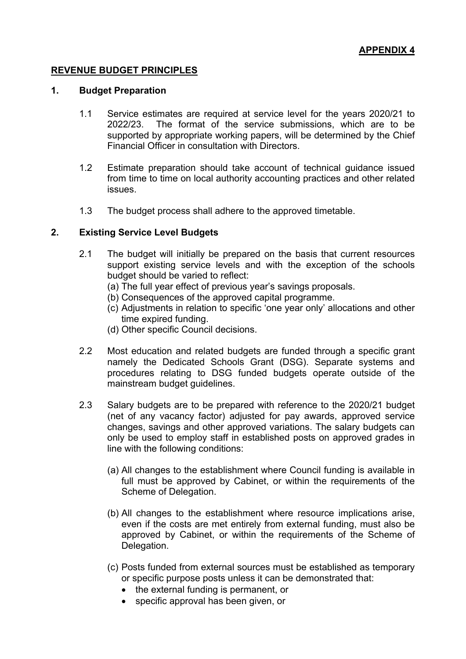## **REVENUE BUDGET PRINCIPLES**

## **1. Budget Preparation**

- 1.1 Service estimates are required at service level for the years 2020/21 to 2022/23. The format of the service submissions, which are to be supported by appropriate working papers, will be determined by the Chief Financial Officer in consultation with Directors.
- 1.2 Estimate preparation should take account of technical guidance issued from time to time on local authority accounting practices and other related issues.
- 1.3 The budget process shall adhere to the approved timetable.

## **2. Existing Service Level Budgets**

- 2.1 The budget will initially be prepared on the basis that current resources support existing service levels and with the exception of the schools budget should be varied to reflect:
	- (a) The full year effect of previous year's savings proposals.
	- (b) Consequences of the approved capital programme.
	- (c) Adjustments in relation to specific 'one year only' allocations and other time expired funding.
	- (d) Other specific Council decisions.
- 2.2 Most education and related budgets are funded through a specific grant namely the Dedicated Schools Grant (DSG). Separate systems and procedures relating to DSG funded budgets operate outside of the mainstream budget guidelines.
- 2.3 Salary budgets are to be prepared with reference to the 2020/21 budget (net of any vacancy factor) adjusted for pay awards, approved service changes, savings and other approved variations. The salary budgets can only be used to employ staff in established posts on approved grades in line with the following conditions:
	- (a) All changes to the establishment where Council funding is available in full must be approved by Cabinet, or within the requirements of the Scheme of Delegation.
	- (b) All changes to the establishment where resource implications arise, even if the costs are met entirely from external funding, must also be approved by Cabinet, or within the requirements of the Scheme of Delegation.
	- (c) Posts funded from external sources must be established as temporary or specific purpose posts unless it can be demonstrated that:
		- the external funding is permanent, or
		- specific approval has been given, or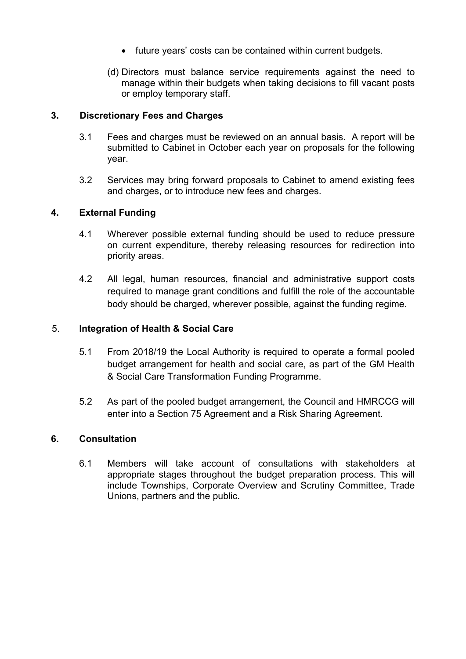- future years' costs can be contained within current budgets.
- (d) Directors must balance service requirements against the need to manage within their budgets when taking decisions to fill vacant posts or employ temporary staff.

## **3. Discretionary Fees and Charges**

- 3.1 Fees and charges must be reviewed on an annual basis. A report will be submitted to Cabinet in October each year on proposals for the following year.
- 3.2 Services may bring forward proposals to Cabinet to amend existing fees and charges, or to introduce new fees and charges.

## **4. External Funding**

- 4.1 Wherever possible external funding should be used to reduce pressure on current expenditure, thereby releasing resources for redirection into priority areas.
- 4.2 All legal, human resources, financial and administrative support costs required to manage grant conditions and fulfill the role of the accountable body should be charged, wherever possible, against the funding regime.

## 5. **Integration of Health & Social Care**

- 5.1 From 2018/19 the Local Authority is required to operate a formal pooled budget arrangement for health and social care, as part of the GM Health & Social Care Transformation Funding Programme.
- 5.2 As part of the pooled budget arrangement, the Council and HMRCCG will enter into a Section 75 Agreement and a Risk Sharing Agreement.

## **6. Consultation**

6.1 Members will take account of consultations with stakeholders at appropriate stages throughout the budget preparation process. This will include Townships, Corporate Overview and Scrutiny Committee, Trade Unions, partners and the public.